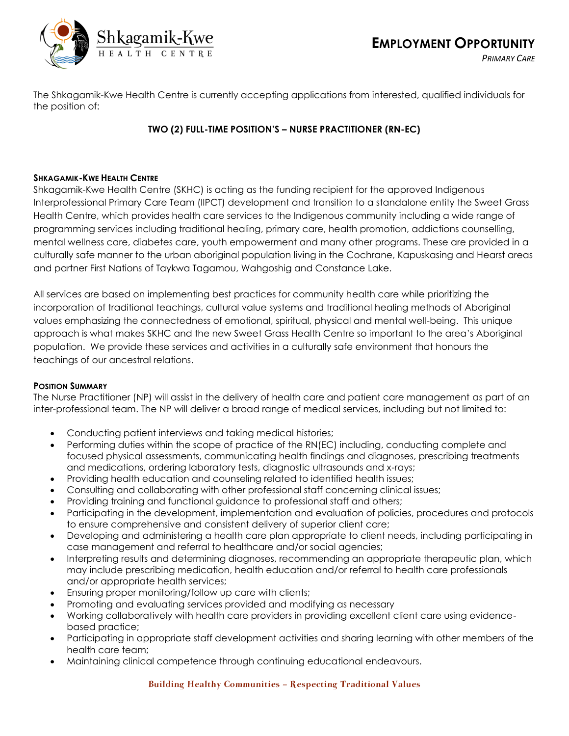

The Shkagamik-Kwe Health Centre is currently accepting applications from interested, qualified individuals for the position of:

# **TWO (2) FULL-TIME POSITION'S – NURSE PRACTITIONER (RN-EC)**

## **SHKAGAMIK-KWE HEALTH CENTRE**

Shkagamik-Kwe Health Centre (SKHC) is acting as the funding recipient for the approved Indigenous Interprofessional Primary Care Team (IIPCT) development and transition to a standalone entity the Sweet Grass Health Centre, which provides health care services to the Indigenous community including a wide range of programming services including traditional healing, primary care, health promotion, addictions counselling, mental wellness care, diabetes care, youth empowerment and many other programs. These are provided in a culturally safe manner to the urban aboriginal population living in the Cochrane, Kapuskasing and Hearst areas and partner First Nations of Taykwa Tagamou, Wahgoshig and Constance Lake.

All services are based on implementing best practices for community health care while prioritizing the incorporation of traditional teachings, cultural value systems and traditional healing methods of Aboriginal values emphasizing the connectedness of emotional, spiritual, physical and mental well-being. This unique approach is what makes SKHC and the new Sweet Grass Health Centre so important to the area's Aboriginal population. We provide these services and activities in a culturally safe environment that honours the teachings of our ancestral relations.

#### **POSITION SUMMARY**

The Nurse Practitioner (NP) will assist in the delivery of health care and patient care management as part of an inter-professional team. The NP will deliver a broad range of medical services, including but not limited to:

- Conducting patient interviews and taking medical histories;
- Performing duties within the scope of practice of the RN(EC) including, conducting complete and focused physical assessments, communicating health findings and diagnoses, prescribing treatments and medications, ordering laboratory tests, diagnostic ultrasounds and x-rays;
- Providing health education and counseling related to identified health issues;
- Consulting and collaborating with other professional staff concerning clinical issues;
- Providing training and functional guidance to professional staff and others;
- Participating in the development, implementation and evaluation of policies, procedures and protocols to ensure comprehensive and consistent delivery of superior client care;
- Developing and administering a health care plan appropriate to client needs, including participating in case management and referral to healthcare and/or social agencies;
- Interpreting results and determining diagnoses, recommending an appropriate therapeutic plan, which may include prescribing medication, health education and/or referral to health care professionals and/or appropriate health services;
- Ensuring proper monitoring/follow up care with clients;
- Promoting and evaluating services provided and modifying as necessary
- Working collaboratively with health care providers in providing excellent client care using evidencebased practice;
- Participating in appropriate staff development activities and sharing learning with other members of the health care team;
- Maintaining clinical competence through continuing educational endeavours.

## Building Healthy Communities – Respecting Traditional Values